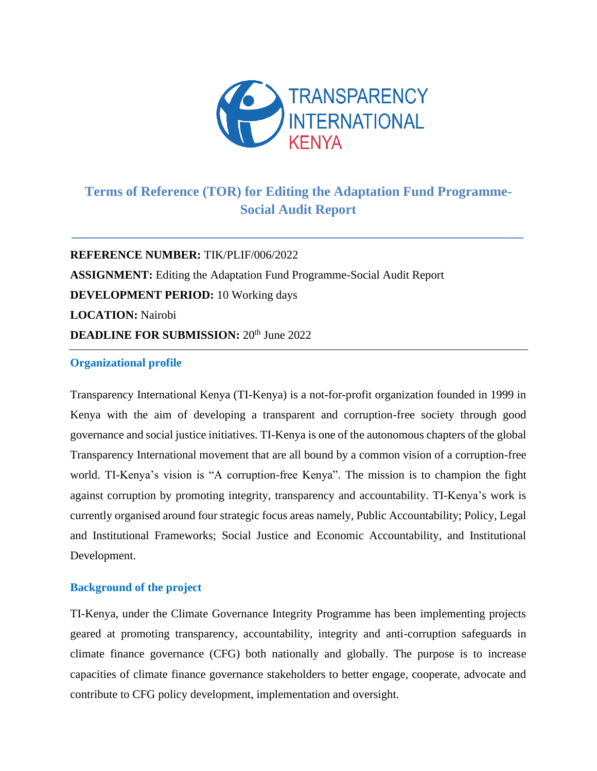

# **Terms of Reference (TOR) for Editing the Adaptation Fund Programme-Social Audit Report**

**REFERENCE NUMBER:** TIK/PLIF/006/2022 **ASSIGNMENT:** Editing the Adaptation Fund Programme-Social Audit Report **DEVELOPMENT PERIOD:** 10 Working days **LOCATION:** Nairobi **DEADLINE FOR SUBMISSION:** 20<sup>th</sup> June 2022

### **Organizational profile**

Transparency International Kenya (TI-Kenya) is a not-for-profit organization founded in 1999 in Kenya with the aim of developing a transparent and corruption-free society through good governance and social justice initiatives. TI-Kenya is one of the autonomous chapters of the global Transparency International movement that are all bound by a common vision of a corruption-free world. TI-Kenya's vision is "A corruption-free Kenya". The mission is to champion the fight against corruption by promoting integrity, transparency and accountability. TI-Kenya's work is currently organised around four strategic focus areas namely, Public Accountability; Policy, Legal and Institutional Frameworks; Social Justice and Economic Accountability, and Institutional Development.

# **Background of the project**

TI-Kenya, under the Climate Governance Integrity Programme has been implementing projects geared at promoting transparency, accountability, integrity and anti-corruption safeguards in climate finance governance (CFG) both nationally and globally. The purpose is to increase capacities of climate finance governance stakeholders to better engage, cooperate, advocate and contribute to CFG policy development, implementation and oversight.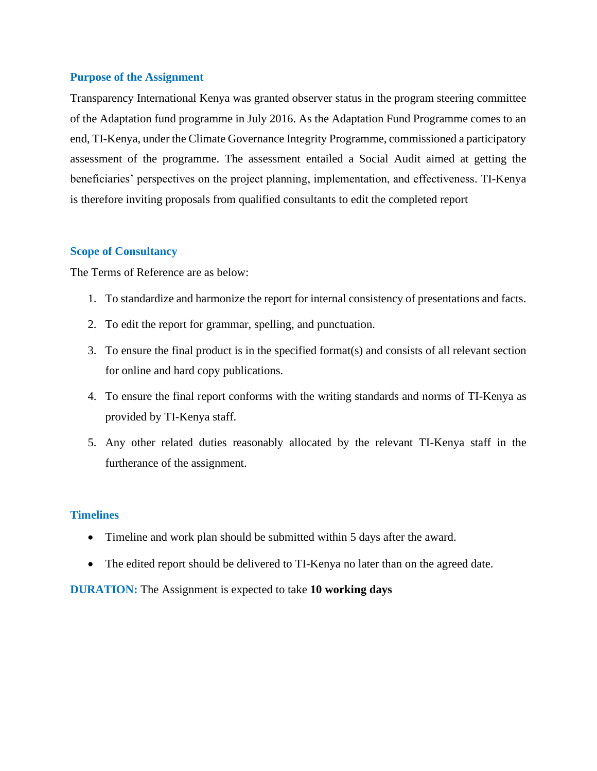### **Purpose of the Assignment**

Transparency International Kenya was granted observer status in the program steering committee of the Adaptation fund programme in July 2016. As the Adaptation Fund Programme comes to an end, TI-Kenya, under the Climate Governance Integrity Programme, commissioned a participatory assessment of the programme. The assessment entailed a Social Audit aimed at getting the beneficiaries' perspectives on the project planning, implementation, and effectiveness. TI-Kenya is therefore inviting proposals from qualified consultants to edit the completed report

### **Scope of Consultancy**

The Terms of Reference are as below:

- 1. To standardize and harmonize the report for internal consistency of presentations and facts.
- 2. To edit the report for grammar, spelling, and punctuation.
- 3. To ensure the final product is in the specified format(s) and consists of all relevant section for online and hard copy publications.
- 4. To ensure the final report conforms with the writing standards and norms of TI-Kenya as provided by TI-Kenya staff.
- 5. Any other related duties reasonably allocated by the relevant TI-Kenya staff in the furtherance of the assignment.

## **Timelines**

- Timeline and work plan should be submitted within 5 days after the award.
- The edited report should be delivered to TI-Kenya no later than on the agreed date.

**DURATION:** The Assignment is expected to take **10 working days**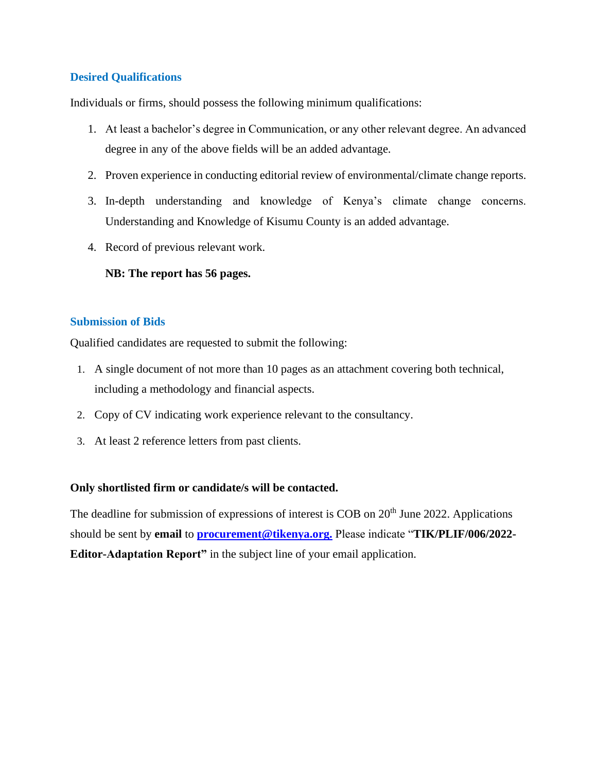# **Desired Qualifications**

Individuals or firms, should possess the following minimum qualifications:

- 1. At least a bachelor's degree in Communication, or any other relevant degree. An advanced degree in any of the above fields will be an added advantage.
- 2. Proven experience in conducting editorial review of environmental/climate change reports.
- 3. In-depth understanding and knowledge of Kenya's climate change concerns. Understanding and Knowledge of Kisumu County is an added advantage.
- 4. Record of previous relevant work.

# **NB: The report has 56 pages.**

# **Submission of Bids**

Qualified candidates are requested to submit the following:

- 1. A single document of not more than 10 pages as an attachment covering both technical, including a methodology and financial aspects.
- 2. Copy of CV indicating work experience relevant to the consultancy.
- 3. At least 2 reference letters from past clients.

# **Only shortlisted firm or candidate/s will be contacted.**

The deadline for submission of expressions of interest is COB on 20<sup>th</sup> June 2022. Applications should be sent by **email** to **[procurement@tikenya.org.](mailto:procurement@tikenya.org)** Please indicate "**TIK/PLIF/006/2022- Editor-Adaptation Report**" in the subject line of your email application.